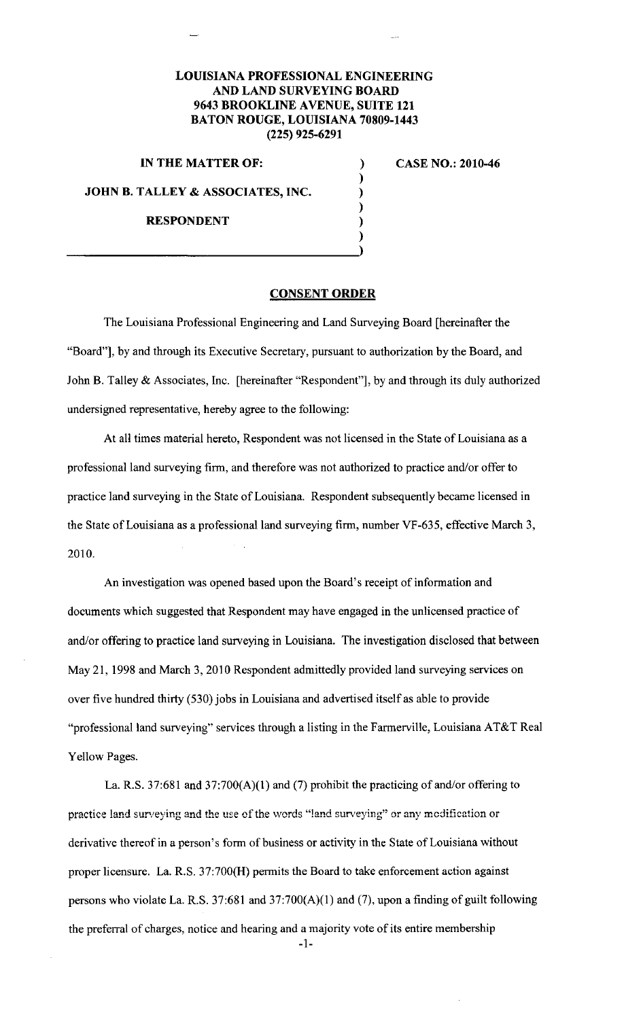## **LOUISIANA PROFESSIONAL ENGINEERING AND LAND SURVEYING BOARD 9643 BROOKLINE A VENUE, SUITE 121 BATON ROUGE, LOUISIANA 70809-1443 (225) 925-6291**

**IN THE MATTER OF:** CASE NO.: 2010-46 **JOHN B. TALLEY & ASSOCIATES, INC. RESPONDENT** 

## **CONSENT ORDER**

) ) ) ) ) )

The Louisiana Professional Engineering and Land Surveying Board [hereinafter the "Board"], by and through its Executive Secretary, pursuant to authorization by the Board, and John B. Talley & Associates, Inc. [hereinafter "Respondent"], by and through its duly authorized undersigned representative, hereby agree to the following:

At all times material hereto, Respondent was not licensed in the State of Louisiana as a professional land surveying firm, and therefore was not authorized to practice and/or offer to practice land surveying in the State of Louisiana. Respondent subsequently became licensed in the State of Louisiana as a professional land surveying firm, number VF-635, effective March 3, 2010.

An investigation was opened based upon the Board's receipt of information and documents which suggested that Respondent may have engaged in the unlicensed practice of and/or offering to practice land surveying in Louisiana. The investigation disclosed that between May 21, 1998 and March 3, 2010 Respondent admittedly provided land surveying services on over five hundred thirty (530) jobs in Louisiana and advertised itself as able to provide "professional land surveying" services through a listing in the Farmerville, Louisiana AT&T Real Yellow Pages.

La. R.S. 37:681 and 37:700(A)(l) and (7) prohibit the practicing of and/or offering to practice land surveying and the use of the words "land surveying" or any mcdification or derivative thereof in a person's form of business or activity in the State of Louisiana without proper licensure. La. R.S. 37:700(H) permits the Board to take enforcement action against persons who violate La. R.S. 37:681 and 37:700(A)(l) and (7), upon a finding of guilt following the preferral of charges, notice and hearing and a majority vote of its entire membership

-1-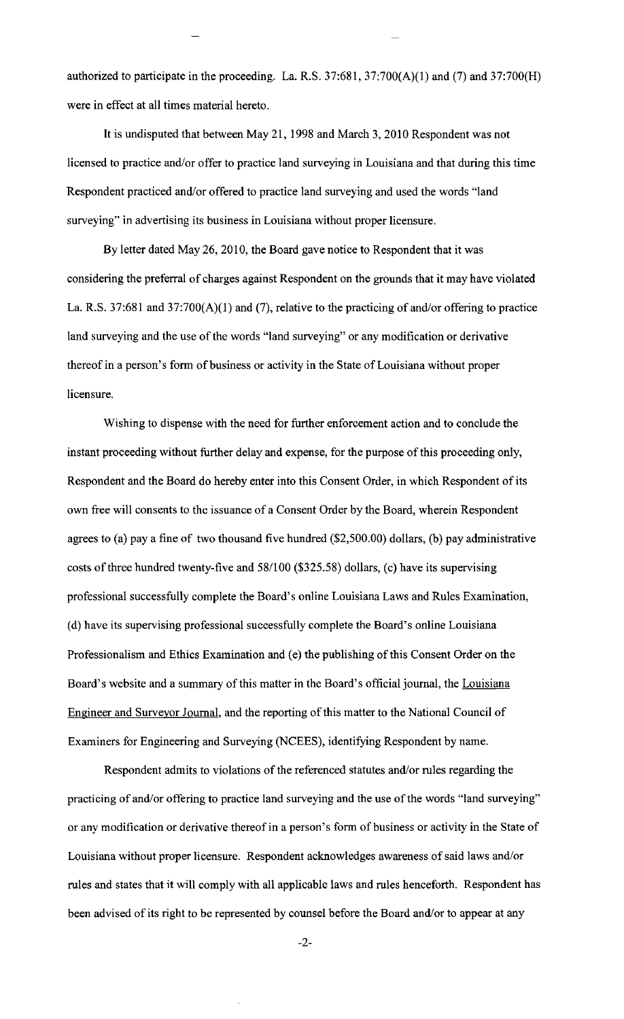authorized to participate in the proceeding. La. R.S. 37:681, 37:700(A)(l) and (7) and 37:700(H) were in effect at all times material hereto.

It is undisputed that between May 21, 1998 and March 3, 2010 Respondent was not licensed to practice and/or offer to practice land surveying in Louisiana and that during this time Respondent practiced and/or offered to practice land surveying and used the words "land surveying" in advertising its business in Louisiana without proper licensure.

By letter dated May 26, 2010, the Board gave notice to Respondent that it was considering the preferral of charges against Respondent on the grounds that it may have violated La. R.S. 37:681 and 37:700(A)(l) and (7), relative to the practicing of and/or offering to practice land surveying and the use of the words "land surveying" or any modification or derivative thereof in a person's form of business or activity in the State of Louisiana without proper licensure.

Wishing to dispense with the need for further enforcement action and to conclude the instant proceeding without further delay and expense, for the purpose of this proceeding only, Respondent and the Board do hereby enter into this Consent Order, in which Respondent of its own free will consents to the issuance of a Consent Order by the Board, wherein Respondent agrees to (a) pay a fine of two thousand five hundred (\$2,500.00) dollars, (b) pay administrative costs of three hundred twenty-five and 58/100 (\$325.58) dollars, (c) have its supervising professional successfully complete the Board's online Louisiana Laws and Rules Examination, (d) have its supervising professional successfully complete the Board's online Louisiana Professionalism and Ethics Examination and (e) the publishing of this Consent Order on the Board's website and a summary of this matter in the Board's official journal, the Louisiana Engineer and Surveyor Journal, and the reporting of this matter to the National Council of Examiners for Engineering and Surveying (NCEES), identifying Respondent by name.

Respondent admits to violations of the referenced statutes and/or rules regarding the practicing of and/or offering to practice land surveying and the use of the words "land surveying" or any modification or derivative thereof in a person's form of business or activity in the State of Louisiana without proper licensure. Respondent acknowledges awareness of said laws and/or rules and states that it will comply with all applicable laws and rules henceforth. Respondent has been advised of its right to be represented by counsel before the Board and/or to appear at any

-2-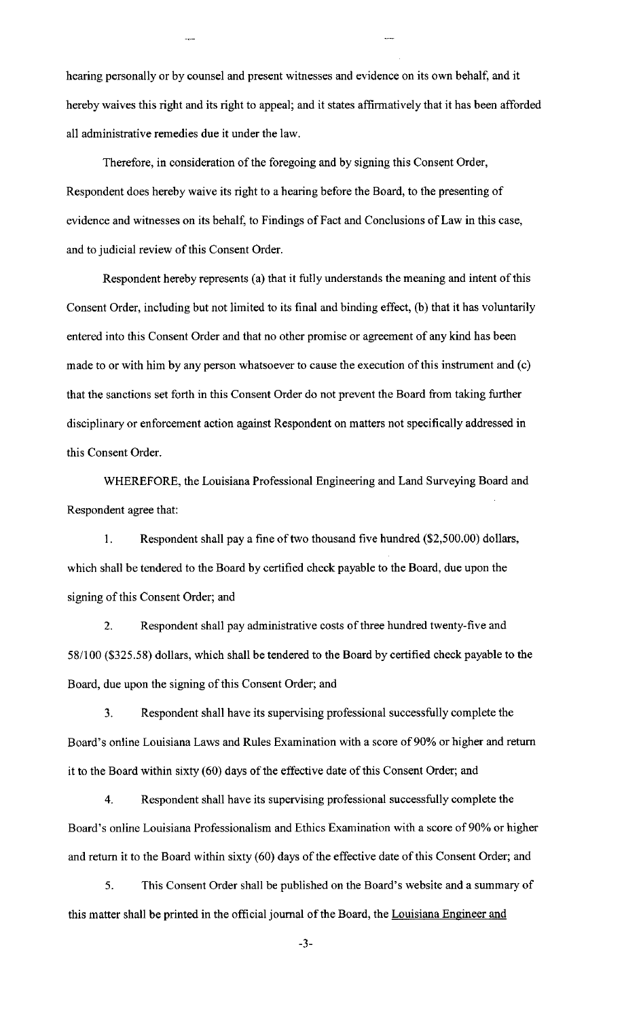hearing personally or by counsel and present witnesses and evidence on its own behalf, and it hereby waives this right and its right to appeal; and it states affirmatively that it has been afforded all administrative remedies due it under the law.

Therefore, in consideration of the foregoing and by signing this Consent Order, Respondent does hereby waive its right to a hearing before the Board, to the presenting of evidence and witnesses on its behalf, to Findings of Fact and Conclusions of Law in this case, and to judicial review of this Consent Order.

Respondent hereby represents (a) that it fully understands the meaning and intent of this Consent Order, including but not limited to its final and binding effect, (b) that it has voluntarily entered into this Consent Order and that no other promise or agreement of any kind has been made to or with him by any person whatsoever to cause the execution of this instrument and (c) that the sanctions set forth in this Consent Order do not prevent the Board from taking further disciplinary or enforcement action against Respondent on matters not specifically addressed in this Consent Order.

WHEREFORE, the Louisiana Professional Engineering and Land Surveying Board and Respondent agree that:

I. Respondent shall pay a fine of two thousand five hundred (\$2,500.00) dollars, which shall be tendered to the Board by certified check payable to the Board, due upon the signing of this Consent Order; and

2. Respondent shall pay administrative costs of three hundred twenty-five and 58/I 00 (\$325.58) dollars, which shall be tendered to the Board by certified check payable to the Board, due upon the signing of this Consent Order; and

3. Respondent shall have its supervising professional successfully complete the Board's online Louisiana Laws and Rules Examination with a score of 90% or higher and return it to the Board within sixty (60) days of the effective date of this Consent Order; and

4. Respondent shall have its supervising professional successfully complete the Board's online Louisiana Professionalism and Ethics Examination with a score of 90% or higher and return it to the Board within sixty (60) days of the effective date of this Consent Order; and

5. This Consent Order shall be published on the Board's website and a summary of this matter shall be printed in the official journal of the Board, the Louisiana Engineer and

-3-